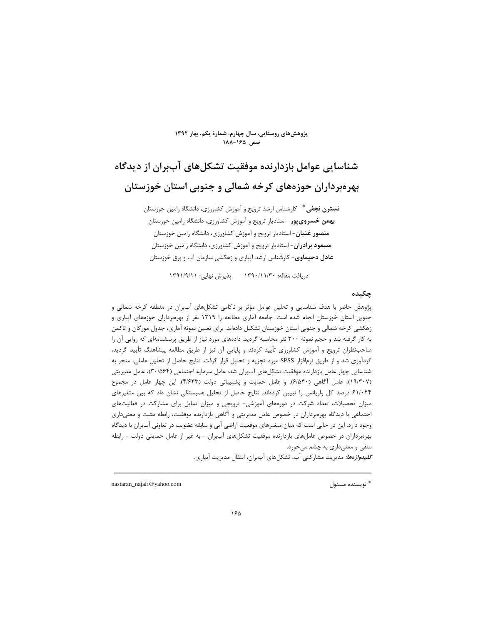#### پژوهشهای روستایی، سال چهارم، شمارهٔ یکم، بهار ۱۳۹۲ صص ۱۶۵–۱۸۸

# شناسایی عوامل بازدارنده موفقیت تشکلهای آببران از دیدگاه بهرهبرداران حوزههای کرخه شمالی و جنوبی استان خوزستان

**نسترن نجفی \***- کارشناس ارشد ترویج و آموزش کشاورزی، دانشگاه رامین خوزستان بهمن خسروي پور - استاديار ترويج و آموزش كشاورزي، دانشگاه رامين خوزستان **منصور غنیان**- استادیار ترویج و آموزش کشاورزی، دانشگاه رامین خوزستان **مسعود برادران**- استادیار ترویج و آموزش کشاورزی، دانشگاه رامین خوزستان عادل دحیماوی- کارشناس ارشد آبیاری و زهکشی سازمان آب و برق خوزستان

دريافت مقاله: ١٣٩٠/١١/٣٠ - پذيرش نهايي: ١٣٩١/٩/١١

#### حكىدە

پژوهش حاضر با هدف شناسایی و تحلیل عوامل مؤثر بر ناکامی تشکلهای آببران در منطقه کرخه شمالی و جنوبی استان خوزستان انجام شده است. جامعه آماری مطالعه را ۱۲۱۹ نفر از بهرهبرداران حوزههای آبیاری و زهکشی کرخه شمالی و جنوبی استان خوزستان تشکیل دادهاند. برای تعیین نمونه آماری، جدول مورگان و تاکمن به کار گرفته شد و حجم نمونه ۳۰۰ نفر محاسبه گردید. دادههای مورد نیاز از طریق پرسشنامهای که روایی آن را صاحب نظران ترويج و آموزش كشاورزى تأييد كردند و پايايي آن نيز از طريق مطالعه پيشاهنگ تأييد گرديد، گردآوری شد و از طریق نرمافزار SPSS مورد تجزیه و تحلیل قرار گرفت. نتایج حاصل از تحلیل عاملی، منجر به شناسایی چهار عامل بازدارنده موفقیت تشکلهای آببران شد: عامل سرمایه اجتماعی (۳۰/۵۶۴)، عامل مدیریتی (١٩/٣٠٧)، عامل أكاهي (٤/٥۴٠)، و عامل حمايت و پشتيباني دولت (۴/۶۳۳). اين چهار عامل در مجموع ۶۱/۰۴۴ درصد کل واریانس را تبیین کردهاند. نتایج حاصل از تحلیل همبستگی نشان داد که بین متغیرهای میزان تحصیلات، تعداد شرکت در دورههای آموزشی- ترویجی و میزان تمایل برای مشارکت در فعالیتهای اجتماعی با دیدگاه بهرهبرداران در خصوص عامل مدیریتی و آگاهی بازدارنده موفقیت، رابطه مثبت و معنیداری وجود دارد. این در حالی است که میان متغیرهای موقعیت اراضی آبی و سابقه عضویت در تعاونی آببران با دیدگاه بهرهبرداران در خصوص عاملهای بازدارنده موفقیت تشکلهای آببران - به غیر از عامل حمایتی دولت - رابطه منفي و معنىداري به چشم مىخورد.

*كليدواژهها:* مديريت مشاركتي آب، تشكلهاي آببران، انتقال مديريت آبياري.

nastaran\_najafi@yahoo.com

\* نويسنده مسئول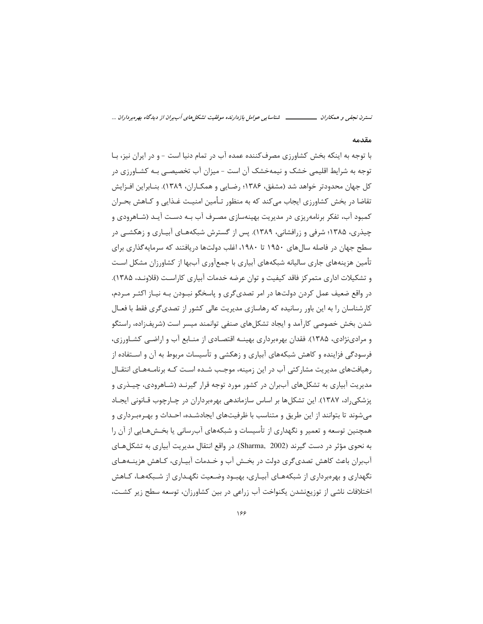#### مقدمه

با توجه به اینکه بخش کشاورزی مصرف کننده عمده آب در تمام دنیا است - و در ایران نیز، بـا توجه به شرایط اقلیمی خشک و نیمهخشک آن است - میزان آب تخصیصـی بـه کشـاورزی در کل جهان محدودتر خواهد شد (مشفق، ۱۳۸۶؛ رضـایی و همکــاران، ۱۳۸۹). بنــابراین افــزایش تقاضا در بخش کشاورزی ایجاب میکند که به منظور تـأمین امنیـت غـذایی و کـاهش بحـران کمبود آب، تفکر برنامهریزی در مدیریت بهینهسازی مصرف آب بـه دسـت آیـد (شـاهرودی و چیذری، ۱۳۸۵؛ شرفی و زرافشانی، ۱۳۸۹). پس از گسترش شبکههـای آبیـاری و زهکشـی در سطح جهان در فاصله سال های ۱۹۵۰ تا ۱۹۸۰، اغلب دولتها دریافتند که سرمایه گذاری برای تأمین هزینههای جاری سالیانه شبکههای آبیاری با جمعآوری آببها از کشاورزان مشکل اسـت و تشکیلات اداری متمرکز فاقد کیفیت و توان عرضه خدمات آبیاری کاراست (قلاونـد، ۱۳۸۵). در واقع ضعیف عمل کردن دولتها در امر تصدیگری و پاسخگو نبـودن بـه نیـاز اکثـر مـردم، کارشناسان را به این باور رسانیده که رهاسازی مدیریت عالی کشور از تصدی گری فقط با فعـال شدن بخش خصوصی کارآمد و ایجاد تشکلهای صنفی توانمند میسر است (شریفزاده، راستگو و مرادینژادی، ۱۳۸۵). فقدان بهرهبرداری بهینـه اقتصـادی از منـابع آب و اراضـی کشـاورزی، فرسودگی فزاینده و کاهش شبکههای آبیاری و زهکشی و تأسیسات مربوط به آن و اســتفاده از رهیافتهای مدیریت مشارکتی آب در این زمینه، موجب شـده اسـت کـه برنامـههـای انتقـال مدیریت آبیاری به تشکلهای آببران در کشور مورد توجه قرار گیرنـد (شـاهرودی، چیـذری و یزشکی راد، ۱۳۸۷). این تشکلها بر اساس سازماندهی بهرهبرداران در چـارچوب قـانونی ایجـاد میشوند تا بتوانند از این طریق و متناسب با ظرفیتهای ایجادشـده، احـداث و بهـرهبـرداری و همچنین توسعه و تعمیر و نگهداری از تأسیسات و شبکههای آبرسانی یا بخـشهـایی از آن را به نحوی مؤثر در دست گیرند (Sharma, 2002). در واقع انتقال مدیریت آبیاری به تشکل هـای آببران باعث کاهش تصدیگری دولت در بخـش آب و خـدمات آبیـاری، کـاهش هزینــههـای نگهداری و بهرهبرداری از شبکههـای آبیـاری، بهبـود وضـعیت نگهـداری از شـبکههـا، کـاهش اختلافات ناشی از توزیعنشدن یکنواخت آب زراعی در بین کشاورزان، توسعه سطح زیر کشـت،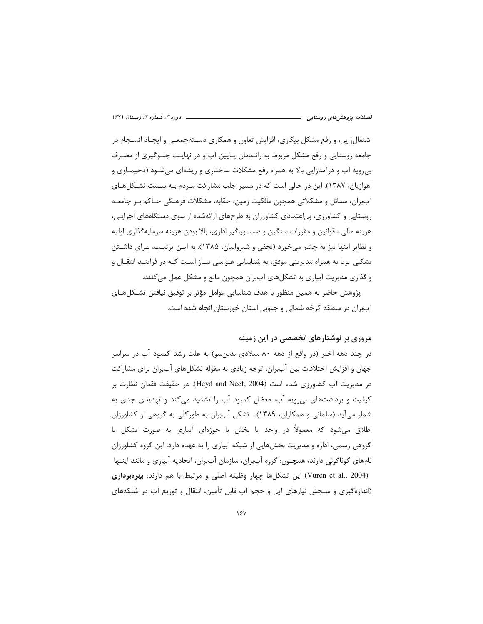اشتغال;ایی، و رفع مشکل بیکاری، افزایش تعاون و همکاری دسـتهجمعـی و ایجـاد انسـجام در جامعه روستایی و رفع مشکل مربوط به رانـدمان پـایین آب و در نهایـت جلـوگیری از مصـرف بی٫رویه آب و درآمدزایی بالا به همراه رفع مشکلات ساختاری و ریشهای می٬شود (دحیمـاوی و اهوازیان، ۱۳۸۷). این در حالی است که در مسیر جلب مشارکت مـردم بـه سـمت تشـکلهـای آببران، مسائل و مشکلاتی همچون مالکیت زمین، حقابه، مشکلات فرهنگی حــاکم بـر جامعــه روستایی و کشاورزی، بی|عتمادی کشاورزان به طرحهای ارائهشده از سوی دستگاههای اجرایی، هزينه مالي ، قوانين و مقررات سنگين و دستوپاگير اداري، بالا بودن هزينه سرمايه گذاري اوليه و نظایر اینها نیز به چشم میخورد (نجفی و شیروانیان، ۱۳۸۵). به ایـن ترتیـب، بـرای داشـتن تشکلی پویا به همراه مدیریتی موفق، به شناسایی عـواملی نیـاز اسـت کـه در فراینـد انتقـال و واگذاری مدیریت آبیاری به تشکلهای آببران همچون مانع و مشکل عمل می کنند.

پژوهش حاضر به همین منظور با هدف شناسایی عوامل مؤثر بر توفیق نیافتن تشـكلهـای آببران در منطقه کرخه شمالی و جنوبی استان خوزستان انجام شده است.

## مروری بر نوشتارهای تخصصی در این زمینه

در چند دهه اخیر (در واقع از دهه ۸۰ میلادی بدینِسو) به علت رشد کمبود آب در سراسر جهان و افزایش اختلافات بین آببران، توجه زیادی به مقوله تشکلهای آببران برای مشارکت در مديريت آب كشاورزي شده است (Heyd and Neef, 2004). در حقيقت فقدان نظارت بر کیفیت و برداشتهای بی ویه آب، معضل کمبود آب را تشدید میکند و تهدیدی جدی به شمار میآید (سلمانی و همکاران، ۱۳۸۹). تشکل آببران به طورکلی به گروهی از کشاورزان اطلاق میشود که معمولاً در واحد یا بخش یا حوزهای آبیاری به صورت تشکل یا گروهی رسمی، اداره و مدیریت بخشهایی از شبکه آبیاری را به عهده دارد. این گروه کشاورزان نامهای گوناگونی دارند، همچـون: گروه آببران، سازمان آببران، اتحادیه آبیاری و مانند اینـها (Vuren et al., 2004) این تشکلها چهار وظیفه اصلی و مرتبط با هم دارند: بهرهبرداری (اندازهگیری و سنجش نیازهای آبی و حجم آب قابل تأمین، انتقال و توزیع آب در شبکههای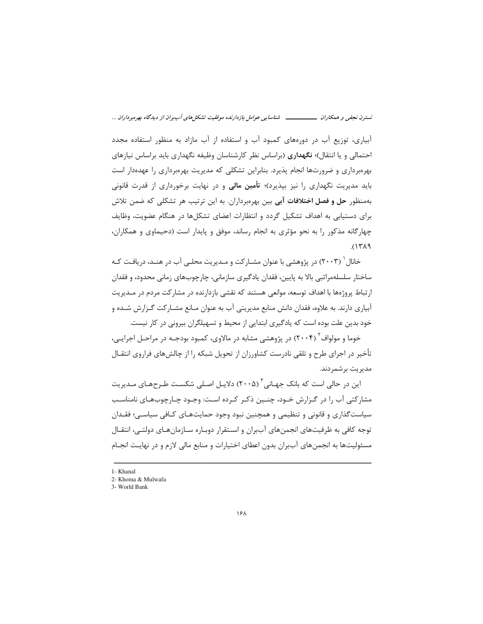آبیاری، توزیع آب در دورههای کمبود آب و استفاده از آب مازاد به منظور استفاده مجدد احتمالی و یا انتقال)؛ **نگهداری** (براساس نظر کارشناسان وظیفه نگهداری باید براساس نیازهای بهرهبرداری و ضرورتها انجام پذیرد. بنابراین تشکلی که مدیریت بهرهبرداری را عهدهدار است باید مدیریت نگهداری را نیز بپذیرد)؛ **تأمین مالی** و در نهایت برخورداری از قدرت قانونی بهمنظور **حل و فصل اختلافات آبی** بین بهرهبرداران. به این ترتیب هر تشکلی که ضمن تلاش برای دستیابی به اهداف تشکیل گردد و انتظارات اعضای تشکلها در هنگام عضویت، وظایف چهارگانه مذکور را به نحو مؤثری به انجام رساند، موفق و پایدار است (دحیماوی و همکاران،  $PAY$ ).

خانال ( ۲۰۰۳) در پژوهشی با عنوان مشـارکت و مـدیریت محلـی آب در هنـد، دریافـت کـه ساختار سلسلهمراتبي بالا به پايين، فقدان يادگيري سازماني، چارچوبهاي زماني محدود، و فقدان ارتباط پروژهها با اهداف توسعه، موانعی هستند که نقشی بازدارنده در مشارکت مردم در مـدیریت آبیاری دارند. به علاوه، فقدان دانش منابع مدیریتی آب به عنوان مـانع مشـار کت گـزارش شـده و خود بدین علت بوده است که یادگیری ابتدایی از محیط و تسهیلگران بیرونی در کار نیست.

خوما و مولواف<sup>۲</sup> (۲۰۰۴) در پژوهشی مشابه در مالاوی، کمبود بودجـه در مراحـل اجرایـی، تأخیر در اجرای طرح و تلقی نادرست کشاورزان از تحویل شبکه را از چالشهای فراروی انتقـال مدیریت برشمردند.

این در حالی است که بانک جهـانی آ (۲۰۰۵) دلایـل اصـلی شکسـت طـرحهـای مـدیریت مشارکتی آب را در گـزارش خـود، چنـین ذکـر کـرده اسـت: وجـود چـارچوبهـای نامناسـب سیاست گذاری و قانونی و تنظیمی و همچنین نبود وجود حمایتهـای کـافی سیاسـی؛ فقـدان توجه كافي به ظرفيتهاي انجمنهاي آبµان و اسـتقرار دوبـاره سـازمانهـاي دولتـي، انتقـال مسئولیتها به انجمنهای آببران بدون اعطای اختیارات و منابع مالی لازم و در نهایـت انجـام

<sup>1-</sup> Khanal

<sup>2-</sup> Khoma & Mulwafa

<sup>3-</sup> World Bank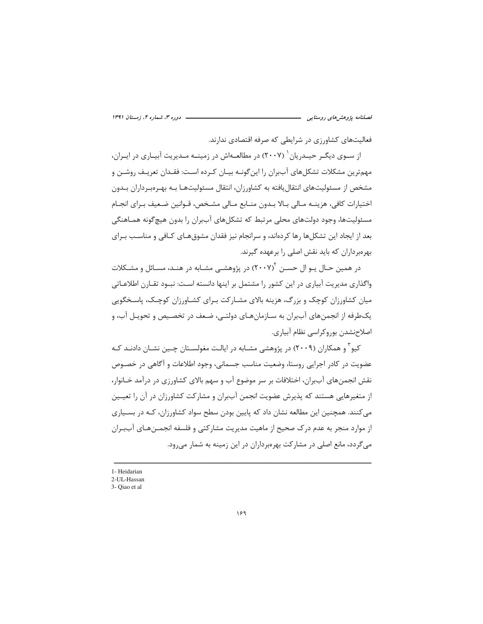فعالیتهای کشاورزی در شرایطی که صرفه اقتصادی ندارند.

از ســوی دیگــر حیــدریان ` (۲۰۰۷) در مطالعــهاش در زمینــه مــدیریت آبیــاری در ایــران، مهمترین مشکلات تشکلهای آببران را این گونـه بیـان کـرده اسـت: فقـدان تعریـف روشـن و مشخص از مسئولیتهای انتقال یافته به کشاورزان، انتقال مسئولیتهـا بـه بهـرەبـرداران بـدون اختيارات كافي، هزينــه مـالي بــالا بــدون منــابع مـالي مشـخص، قــوانين ضـعيف بــراي انجــام مسئولیتها، وجود دولتهای محلی مرتبط که تشکلهای آببران را بدون هیچگونه همـاهنگی بعد از ایجاد این تشکلها رها کردهاند، و سرانجام نیز فقدان مشوق هـای کـافی و مناسـب بـرای بهرهبرداران که باید نقش اصلی را برعهده گیرند.

در همین حـال یـو ال حســن ۲۰۰۷) در پژوهشــی مشــابه در هنــد، مســائل و مشــکلات واگذاری مدیریت آبیاری در این کشور را مشتمل بر اینها دانسته اسـت: نبـود تقـارن اطلاعـاتی مبان کشاورزان کوچک و بزرگ، هزینه بالای مشبارکت بیرای کشباورزان کوچیک، پاسیخگویی یکطرفه از انجمنهای آببران به سـازمانهـای دولتـی، ضـعف در تخصـیص و تحویـل آب، و اصلاحنشدن بوروكراسي نظام آبياري.

کیو ٔ و همکاران (۲۰۰۹) در پژوهشی مشـابه در ایالـت مغولسـتان چـین نشـان دادنـد کـه عضویت در کادر اجرایی روستا، وضعیت مناسب جسمانی، وجود اطلاعات و آگاهی در خصـوص نقش انجمنهای آببران، اختلافات بر سر موضوع آب و سهم بالای کشاورزی در درآمد خـانوار، از متغیرهایی هستند که پذیرش عضویت انجمن آببران و مشارکت کشاورزان در آن را تعیـین می کنند. همچنین این مطالعه نشان داد که پایین بودن سطح سواد کشاورزان، کـه در بسـیاری از موارد منجر به عدم درک صحیح از ماهیت مدیریت مشارکتی و فلسفه انجمــنهـای آببــران می گردد، مانع اصلی در مشارکت بهرهبرداران در این زمینه به شمار میرود.

<sup>1-</sup> Heidarian

<sup>2-</sup>UL-Hassan

<sup>3-</sup> Oiao et al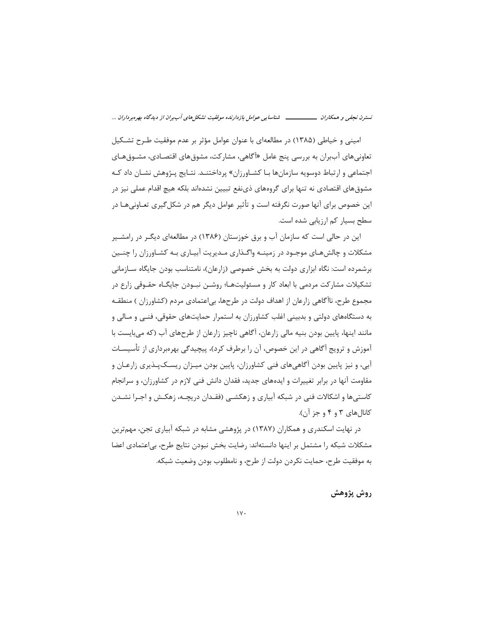امینی و خیاطی (۱۳۸۵) در مطالعهای با عنوان عوامل مؤثر بر عدم موفقیت طـرح تشـکیل تعاونی های آببران به بررسی پنج عامل «آگاهی، مشارکت، مشوق های اقتصـادی، مشــوق *ه*ـای اجتماعی و ارتباط دوسویه سازمانها بـا کشــاورزان» پرداختنــد. نتــایج پــژوهش نشــان داد کــه مشوق های اقتصادی نه تنها برای گروههای ذینفع تبیین نشدهاند بلکه هیچ اقدام عملی نیز در این خصوص برای آنها صورت نگرفته است و تأثیر عوامل دیگر هم در شکل *گ*یری تعـاونیهـا در سطح بسیار کم ارزیابی شده است.

این در حالی است که سازمان آب و برق خوزستان (۱۳۸۶) در مطالعهای دیگـر در رامشـیر مشکلات و چالش هـای موجـود در زمینــه واگــذاری مــدیریت آبیــاری بــه کشــاورزان را چنــین برشمرده است: نگاه ابزاری دولت به بخش خصوصی (زارعان)، نامتناسب بودن جایگاه ســازمانی تشکیلات مشارکت مردمی با ابعاد کار و مسئولیتهـا؛ روشـن نبــودن جایگــاه حقــوقی زارع در مجموع طرح، ناآگاهی زارعان از اهداف دولت در طرحها، بی|عتمادی مردم (کشاورزان ) منطقـه به دستگاههای دولتی و بدبینی اغلب کشاورزان به استمرار حمایتهای حقوقی، فنـی و مـالی و مانند اینها، پایین بودن بنیه مالی زارعان، آگاهی ناچیز زارعان از طرحهای آب (که می بایست با آموزش و ترویج آگاهی در این خصوص، آن را برطرف کرد)، پیچیدگی بهرەبرداری از تأسیسـات آبی، و نیز پایین بودن آگاهی های فنی کشاورزان، پایین بودن میـزان ریسـک<code>یـذیری</code> زارعـان و مقاومت آنها در برابر تغییرات و ایدههای جدید، فقدان دانش فنی لازم در کشاورزان، و سرانجام کاستیها و اشکالات فنی در شبکه آبیاری و زهکشـی (فقـدان دریچـه، زهکـش و اجـرا نشـدن کانالهای ۳ و ۴ و جز آن).

در نهایت اسکندری و همکاران (۱۳۸۷) در پژوهشی مشابه در شبکه آبیاری تجن، مهمترین مشكلات شبكه را مشتمل بر اينها دانستهاند: رضايت بخش نبودن نتايج طرح، بي|عتمادى اعضا به موفقيت طرح، حمايت نكردن دولت از طرح، و نامطلوب بودن وضعيت شبكه.

روش پژوهش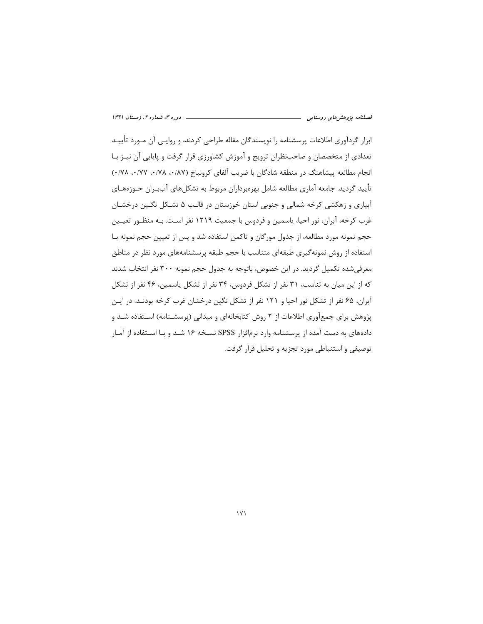ابزار گردآوری اطلاعات پرسشنامه را نویسندگان مقاله طراحی کردند، و روایـی آن مـورد تأییـد تعدادی از متخصصان و صاحبنظران ترویج و آموزش کشاورزی قرار گرفت و پایایی آن نیـز بـا انجام مطالعه پیشاهنگ در منطقه شادگان با ضریب آلفای کرونباخ (۰/۷۸، ۰/۷۸، ۰/۷۷). تأييد گرديد. جامعه آماري مطالعه شامل بهرەبرداران مربوط به تشكلهاي آببـران حـوزەهـاي آبیاری و زهکشی کرخه شمالی و جنوبی استان خوزستان در قالب ۵ تشـکل نگـین درخشـان غرب كرخه، آبران، نور احيا، ياسمين و فردوس با جمعيت ١٢١٩ نفر اسـت. بـه منظـور تعيـين حجم نمونه مورد مطالعه، از جدول مورگان و تاکمن استفاده شد و پس از تعیین حجم نمونه بـا استفاده از روش نمونه گیری طبقهای متناسب با حجم طبقه پرسشنامههای مورد نظر در مناطق معرفی شده تکمیل گردید. در این خصوص، باتوجه به جدول حجم نمونه ۳۰۰ نفر انتخاب شدند که از این میان به تناسب، ۳۱ نفر از تشکل فردوس، ۳۴ نفر از تشکل پاسمین، ۴۶ نفر از تشکل آبران، ۶۵ نفر از تشکل نور احیا و ۱۲۱ نفر از تشکل نگین درخشان غرب کرخه بودنـد. در ایـن پژوهش برای جمعآوری اطلاعات از ۲ روش کتابخانهای و میدانی (پرسشـنامه) اسـتفاده شـد و دادههای به دست آمده از پرسشنامه وارد نرمافزار SPSS نسـخه ۱۶ شـد و بـا اسـتفاده از آمـار توصيفي و استنباطي مورد تجزيه و تحليل قرار گرفت.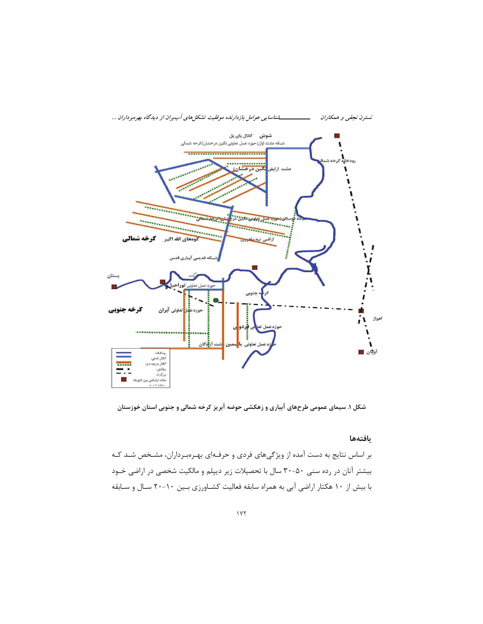

شکل ۱. سیمای عمومی طرحهای آبیاری و زهکشی حوضه آبریز کرخه شمالی و جنوبی استان خوزستان

#### بافتهها

بر اساس نتایج به دست آمده از ویژگیهای فردی و حرفـهای بهـرهبـرداران، مشـخص شـد کـه بیشتر آنان در رده سنی ۵۰-۳۰ سال با تحصیلات زیر دیپلم و مالکیت شخصی در اراضی خـود با بیش از ۱۰ هکتار اراضی آبی به همراه سابقه فعالیت کشـاورزی بـین ۱۰-۲۰ سـال و سـابقه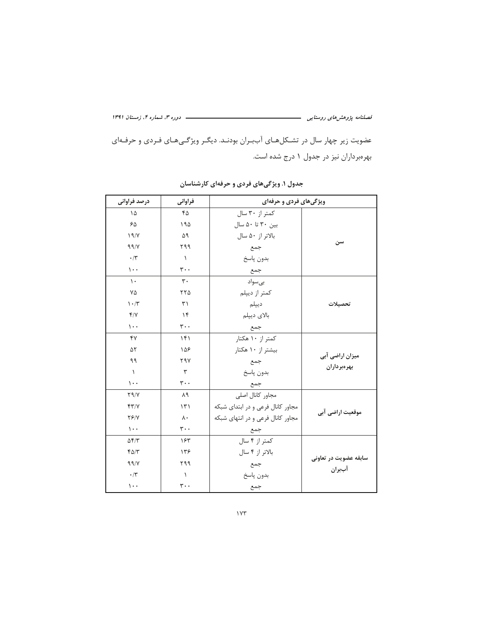ــــــــــــــــــــ دوره ۳، شماره ۴، زمستان ۱۳۹۱

عضویت زیر چهار سال در تشکلهای آببران بودند. دیگر ویژگیهای فردی و حرفهای بهرهبرداران نیز در جدول ۱ درج شده است.

| درصد فراوانی                    | فراوانى                       | ویژگیهای فردی و حرفهای            |                       |  |  |
|---------------------------------|-------------------------------|-----------------------------------|-----------------------|--|--|
| ۱۵                              | ۴۵                            | کمتر از ۳۰ سال                    |                       |  |  |
| $60^{\circ}$                    | ۱۹۵                           | بين ٣٠ تا ۵٠ سال                  |                       |  |  |
| 19/Y                            | ۵۹                            | بالاتر از ۵۰ سال                  |                       |  |  |
| 99/V                            | ۲۹۹                           | جمع                               | سن                    |  |  |
| $\cdot$ /۳                      | $\lambda$                     | بدون پاسخ                         |                       |  |  |
| $\mathcal{L}$ .                 | $\mathbf{r}$ .                | جمع                               |                       |  |  |
| $\mathcal{L}$                   | $\mathbf{r}$ .                | ہے سواد                           |                       |  |  |
| ٧۵                              | ٢٢٥                           | كمتر از ديپلم                     |                       |  |  |
| $\mathcal{N} \cdot \mathcal{N}$ | $\uparrow$                    | ديپلم                             | تحصيلات               |  |  |
| Y/Y                             | $\gamma$                      | بالای دیپلم                       |                       |  |  |
| $\cdots$                        | $\mathbf{r}$ .                | جمع                               |                       |  |  |
| ۴٧                              | f                             | کمتر از ۱۰ هکتار                  |                       |  |  |
| ۵٢                              | ١۵۶                           | بیشتر از ۱۰ هکتار                 |                       |  |  |
| ۹۹                              | ۲۹۷                           | جمع                               | میزان اراضی آبی       |  |  |
| $\lambda$                       | ٣                             | بدون پاسخ                         | بهرهبرداران           |  |  |
| $\mathcal{L}$ .                 | $\mathbf{r} \cdot \mathbf{A}$ | جمع                               |                       |  |  |
| Y9/Y                            | ٨٩                            | مجاور كانال اصلى                  |                       |  |  |
| Y'                              | $\mathcal{N}$                 | مجاور كانال فرعى و در ابتداى شبكه |                       |  |  |
| $Y \frac{6}{7} Y$               | $\lambda \cdot$               | مجاور کانال فرعی و در انتهای شبکه | موقعیت اراضی آبی      |  |  |
| $\mathcal{L}$ .                 | $\mathbf{r} \cdot \mathbf{A}$ | جمع                               |                       |  |  |
| $\Delta f/T$                    | ۱۶۳                           | كمتر از ۴ سال                     |                       |  |  |
| $f\Delta/\tau$                  | ۱۳۶                           | بالاتر از ۴ سال                   |                       |  |  |
| 99/                             | ۲۹۹                           | جمع                               | سابقه عضويت در تعاونى |  |  |
| $\cdot/\tau$                    | $\lambda$                     | بدون پاسخ                         | آببران                |  |  |
| $\mathcal{L}$ .                 | $\mathbf{r}$ .                | جمع                               |                       |  |  |

جدول ۱. ویژگیهای فردی و حرفهای کارشناسان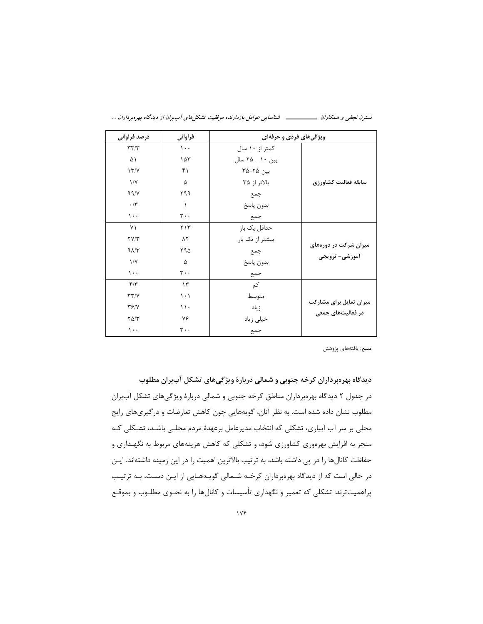|  |  |  | شناسایی عوامل بازدارنده موفقیت تشکلهای آببران از دیدگاه بهرهبرداران |  | ىستر <i>ن نجفى و همكاران</i> |
|--|--|--|---------------------------------------------------------------------|--|------------------------------|
|--|--|--|---------------------------------------------------------------------|--|------------------------------|

| درصد فراوانی                   | فراواني                       | ویژگیهای فردی و حرفهای |                         |
|--------------------------------|-------------------------------|------------------------|-------------------------|
| $\tau\tau/\tau$                | $\mathcal{L}$ .               | کمتر از ۱۰ سال         |                         |
| ۵۱                             | ۱۵۳                           | بین ۱۰ – ۲۵ سال        |                         |
| 17'                            | ۴۱                            | بین ۲۵-۲۵              |                         |
| $\frac{1}{V}$                  | ۵                             | بالاتر از ۳۵           | سابقه فعاليت كشاورزي    |
| 99/V                           | ۲۹۹                           | جمع                    |                         |
| $\cdot$ /۳                     | $\lambda$                     | بدون پاسخ              |                         |
| $\mathcal{L}$ .                | $\mathbf{r} \cdot \mathbf{A}$ | جمع                    |                         |
| ٧١                             | $Y \wedge Y'$                 | حداقل یک بار           |                         |
| $\Upsilon V/\Upsilon$          | ۸۲                            | بیشتر از یک بار        |                         |
| $9\lambda/\tau$                | ۲۹۵                           | جمع                    | میزان شرکت در دورههای   |
| 1/Y                            | ۵                             | بدون پاسخ              | آموزشی- ترویجی          |
| $\mathcal{L}$ .                | $\mathbf{r} \cdot \mathbf{A}$ | جمع                    |                         |
| $f/\tau$                       | $\gamma$                      | کم                     |                         |
| $\Upsilon \Upsilon / \Upsilon$ | $\vert \cdot \rangle$         | متوسط                  |                         |
| YY/Y                           | $\setminus \cdot$             | زياد                   | میزان تمایل برای مشارکت |
| $Y\Delta/Y$                    | ٧۶                            | خیلی زیاد              | در فعالیتهای جمعی       |
| $\cdots$                       | $\mathbf{r} \cdot \mathbf{A}$ | جمع                    |                         |

**منبع**: يافتههاي پژوهش

دیدگاه بهرهبرداران کرخه جنوبی و شمالی دربارهٔ ویژگیهای تشکل آببران مطلوب در جدول ٢ ديدگاه بهرهبرداران مناطق كرخه جنوبي و شمالي دربارهٔ ويژگيهاي تشكل آببران مطلوب نشان داده شده است. به نظر آنان، گویههایی چون کاهش تعارضات و درگیریهای رایج محلی بر سر آب آبیاری، تشکلی که انتخاب مدیرعامل برعهدهٔ مردم محلـی باشـد، تشـکلی کـه منجر به افزایش بهرهوری کشاورزی شود، و تشکلی که کاهش هزینههای مربوط به نگهـداری و حفاظت کانالها را در پی داشته باشد، به ترتیب بالاترین اهمیت را در این زمینه داشتهاند. ایـن در حالی است که از دیدگاه بهرهبرداران کرخـه شـمالی گویـههـایی از ایـن دسـت، بـه ترتیـب پراهمیتترند: تشکلی که تعمیر و نگهداری تأسیسات و کانالها را به نحـوی مطلـوب و بموقـع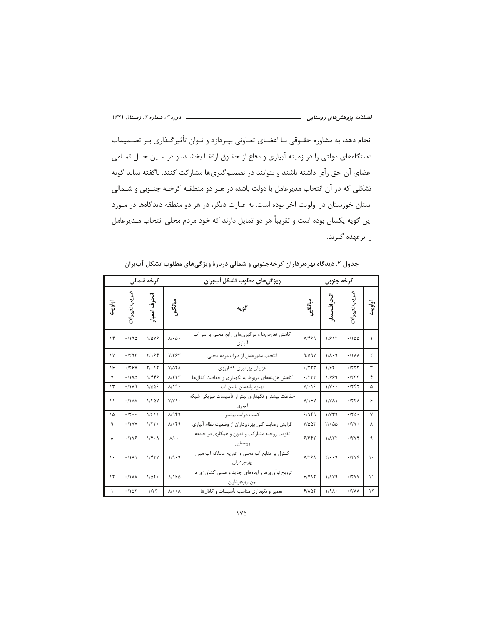انجام دهد، به مشاوره حقـوقي بـا اعضـاي تعـاوني بپـردازد و تـوان تأثيرگـذاري بـر تصـميمات دستگاههای دولتی را در زمینه آبیاری و دفاع از حقـوق ارتقـا بخشـد، و در عـین حـال تمـامی اعضای آن حق رأی داشته باشند و بتوانند در تصمیمگیریها مشارکت کنند. ناگفته نماند گویه تشکلی که در آن انتخاب مدیرعامل با دولت باشد، در هـر دو منطقـه کرخـه جنـوبی و شـمالی استان خوزستان در اولویت آخر بوده است. به عبارت دیگر، در هر دو منطقه دیدگاهها در مـورد این گویه یکسان بوده است و تقریباً هر دو تمایل دارند که خود مردم محلی انتخاب مـدیرعامل را برعهده گیرند.

| <b>کرخه شمالی</b> |                      |                     |                                       | ویژگی های مطلوب تشکل آببران                                        | كرخه جنوبى          |                         |                  |               |
|-------------------|----------------------|---------------------|---------------------------------------|--------------------------------------------------------------------|---------------------|-------------------------|------------------|---------------|
| اولويت            | ضريب تغييرات         | انحرف امعيار        | ڛڶػؖڹ<br>ڎ                            | گويه                                                               | ميانگېن             | انحراف معيار            | ضريب تغييرات     | اولويت        |
| $\gamma$          | .190                 | 1/478               | $\lambda/\cdot \Delta$ .              | کاهش تعارضها و در گیریهای رایج محلی بر سر آب<br>ابيارى             | Y/F99               | 1/517                   | .1100            | ١             |
| $\gamma$          | .797                 | <b>7/184</b>        | $Y/\nabla \xi$                        | انتخاب مدیرعامل از طرف مردم محلی                                   | 9/09V               | $1/\lambda \cdot 9$     | .11AA            | ٢             |
| ۱۶                | .179V                | $Y/\cdot Y$         | $Y/\Delta Y \Lambda$                  | افزايش بهرەورى كشاورزى                                             | .7777               | 1/57.                   | .777             | ٣             |
| $\mathsf{v}$      | $.11Y\Delta$         | 1/448               | A/777                                 | كاهش هزينههاي مربوط به نگهداري و حفاظت كانالها                     | .777                | 1/889                   | .777             | ۴             |
| $\mathcal{N}$     | .7119                | 1/008               | $\lambda/\lambda$ 9.                  | بهبود راندمان پایین آب                                             | $Y/\cdot$ 18        | $1/V \cdot$             | .755             | ۵             |
| $\setminus$       | .11AA                | $1/F\Delta V$       | $Y/Y$ $\cdot$                         | حفاظت بیشتر و نگهداری بهتر از تأسیسات فیزیکی شبکه<br>آبیاری        | Y/15Y               | 1/Y <sub>A</sub>        | .75A             | ۶             |
| ۱۵                | $\cdot$ /٢ $\cdot$ . | 1/511               | A/989                                 | كسب درآمد بيشتر                                                    | 91999               | 1/VT9                   | .170.            | V             |
| ٩                 | .11YY                | $1/\gamma +$        | $\lambda/\cdot$ ۴۹                    | افزایش رضایت کلی بهرهبرداران از وضعیت نظام آبیاری                  | $Y/\Delta \Delta Y$ | $Y/\cdot \Delta \Delta$ | .17V             | λ             |
| Υ                 | $.11Y$ ۶             | $1/f \cdot \Lambda$ | $\lambda$ / $\cdot$ $\cdot$           | تقویت روحیه مشارکت و تعاون و همکاری در جامعه<br>روستایی            | 91988               | 1/17                    | .7796            | ٩             |
| $\mathcal{L}$     | .7111                | 1/FTY               | 1/9.9                                 | كنترل بر منابع آب محلى و توزيع عادلانه آب ميان<br>بهر مبر دار ان   | Y/YFA               | $Y/\cdot$ . 9           | .17Y9            | $\mathcal{L}$ |
| $\mathcal{N}$     | .11AA                | $1/\Delta f$ .      | <b>A/180</b>                          | ترویج نوآوریها و ایدههای جدید و علمی کشاورزی در<br>بين بهرهبرداران | 51YAT               | 1/179                   | .7YY             | $\mathcal{L}$ |
| $\mathcal{L}$     | .1104                | 1/57                | $\lambda$ / $\cdot$ $\cdot$ $\lambda$ | تعمیر و نگهداری مناسب تأسیسات و کانالها                            | 9/108               | $1/9\Lambda$            | .77 <sub>A</sub> | $\mathcal{N}$ |

جدول ۲. دیدگاه بهرهبرداران کرخهجنوبی و شمالی دربارهٔ ویژگیهای مطلوب تشکل آببران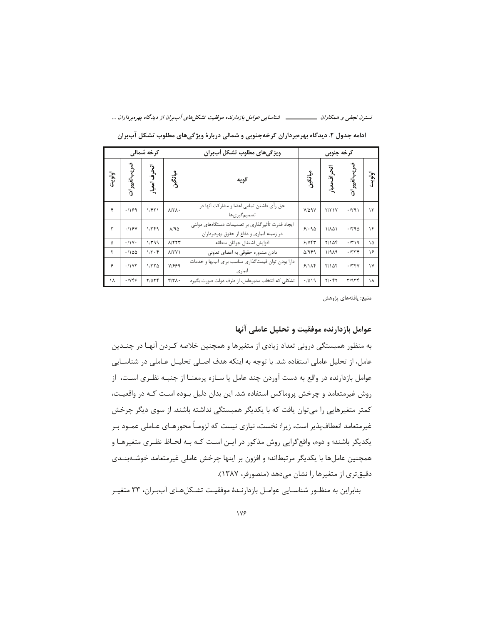|        | کرخه شمالی   |                               |                               | ویژگی های مطلوب تشکل اَببران                                                                    | کرخه جنوبی       |              |              |               |
|--------|--------------|-------------------------------|-------------------------------|-------------------------------------------------------------------------------------------------|------------------|--------------|--------------|---------------|
| اولويت | ضريب تغييرات | انحرف امعيار                  | مدانگېن<br>د                  | گويه                                                                                            | ميانگېن<br>      | انحراف معيار | ہریب تغییرات | اولويت        |
| ۴      | .199         | 1/FT                          | $\lambda/\Upsilon\Lambda$ .   | حق رأی داشتن تمامی اعضا و مشارکت آنها در<br>تصميم گير ي ها                                      | $Y/\Delta$ 9 $Y$ | Y/Y          | .791         | $\mathcal{L}$ |
| ٣      | .199         | 1/769                         | $\Lambda/\mathfrak{A}\Delta$  | ایجاد قدرت تأثیر گذاری بر تصمیمات دستگاههای دولتی<br>در زمینه آبیاری و دفاع از حقوق بهرهبرداران | 91.90            | ۱/۸۵۱        | .790         | ۱۴            |
| ۵      | .71V.        | 1/499                         | A/777                         | افزايش اشتغال جوانان منطقه                                                                      | 5/75             | Y/10f        | .779         | ۱۵            |
| ۲      | .1100        | $1/\mathbf{r}\cdot\mathbf{r}$ | $\Lambda/\Upsilon$ $\Upsilon$ | دادن مشاوره حقوقی به اعضای تعاونی                                                               | $\Delta$ /949    | 1/9A9        | .777         | ۱۶            |
| ۶      | .11Y         | 1/770                         | Y/999                         | دارا بودن توان قیمت گذاری مناسب برای آببها و خدمات<br>آبیاری                                    | 9/1              | $Y/\Delta Y$ | .749         | $\mathsf{v}$  |
| ۱۸     | .1159        | $Y/\Delta Y$                  | $\tau/\tau\lambda$ .          | تشکلی که انتخاب مدیرعامل، از طرف دولت صورت بگیرد                                                | .7019            | $Y/\cdot Y$  | T/9Tf        | ۱۸            |

ادامه جدول ۲. دیدگاه بهرهبرداران کرخهجنوبی و شمالی دربارهٔ ویژگیهای مطلوب تشکل آببران

**منبع**: يافتههاي پژوهش

# عوامل بازدارنده موفقيت و تحليل عاملي آنها

به منظور همبستگی درونی تعداد زیادی از متغیرها و همچنین خلاصه کـردن آنهـا در چنــدین عامل، از تحلیل عاملی استفاده شد. با توجه به اینکه هدف اصـلی تحلیـل عـاملی در شناسـایی عوامل بازدارنده در واقع به دست آوردن چند عامل یا سـازه پرمعنـا از جنبــه نظـری اسـت، از روش غیرمتعامد و چرخش پروماکس استفاده شد. این بدان دلیل بـوده اسـت کـه در واقعیـت، کمتر متغیرهایی را میتوان یافت که با یکدیگر همبستگی نداشته باشند. از سوی دیگر چرخش غیرمتعامد انعطاف پذیر است، زیرا: نخست، نیازی نیست که لزومـاً محورهـای عـاملی عمـود بـر یکدیگر باشند؛ و دوم، واقع گرایی روش مذکور در ایـن اسـت کـه بـه لحـاظ نظـری متغیرهـا و همچنین عاملها با یکدیگر مرتبطاند؛ و افزون بر اینها چرخش عاملی غیرمتعامد خوشـهبنـدی دقیق تری از متغیرها را نشان می دهد (منصورفر، ۱۳۸۷).

بنابراین به منظـور شناسـایی عوامـل بازدارنـدهٔ موفقیـت تشـکلهـای آببـران، ۳۳ متغیـر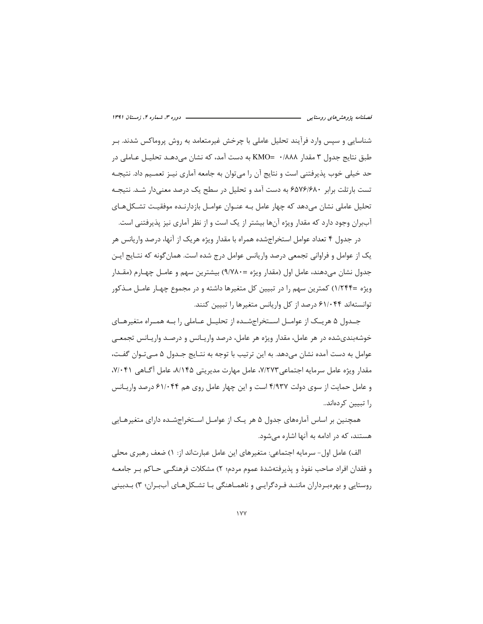شناسایی و سپس وارد فرآیند تحلیل عاملی با چرخش غیرمتعامد به روش پروماکس شدند. بـر طبق نتايج جدول ٣ مقدار ٢٨٨٨ - KMO به دست آمد، كه نشان مي دهـد تحليـل عــاملي در حد خیلی خوب پذیرفتنی است و نتایج آن را می توان به جامعه آماری نیـز تعمـیم داد. نتیجـه تست بارتلت برابر ۶۵۷۶/۶۸۰ به دست آمد و تحلیل در سطح یک درصد معنیدار شـد. نتیجـه تحلیل عاملی نشان می،دهد که چهار عامل بـه عنــوان عوامــل بازدارنــده موفقیـت تشــکلهــای آببران وجود دارد که مقدار ویژه آنها بیشتر از یک است و از نظر آماری نیز پذیرفتنی است.

در جدول ۴ تعداد عوامل استخراجشده همراه با مقدار ویژه هریک از آنها، درصد واریانس هر یک از عوامل و فراوانی تجمعی درصد واریانس عوامل درج شده است. همان گونه که نتـایج ایـن جدول نشان میدهند، عامل اول (مقدار ویژه =۸/۷۸۰) بیشترین سهم و عامـل چهـارم (مقـدار ویژه =۱/۲۴۴) کمترین سهم را در تبیین کل متغیرها داشته و در مجموع چهـار عامـل مـذکور توانستهاند ۶۱/۰۴۴ درصد از کل واریانس متغیرها را تبیین کنند.

جـدول ۵ هریــک از عوامــل اســتخراجشــده از تحلیــل عــاملی را بــه همــراه متغیرهــای خوشهبندیشده در هر عامل، مقدار ویژه هر عامل، درصد واریـانس و درصـد واریـانس تجمعـی عوامل به دست آمده نشان میدهد. به این ترتیب با توجه به نتـایج جـدول ۵ مـی تـوان گفـت، مقدار ویژه عامل سرمایه اجتماعی۷/۲۷۳، عامل مهارت مدیریتی ۸/۱۴۵، عامل آگــاهی ۰۷/۰۴۱ و عامل حمایت از سوی دولت ۴/۹۳۷ است و این چهار عامل روی هم ۶۱/۰۴۴ درصد واریـانس را تبیین کردهاند..

همچنین بر اساس آمارههای جدول ۵ هر یـک از عوامـل اسـتخراجشـده دارای متغیرهـایی هستند، که در ادامه به آنها اشاره می شود.

الف) عامل اول- سرمایه اجتماعی: متغیرهای این عامل عبارتاند از: ۱) ضعف رهبری محلی و فقدان افراد صاحب نفوذ و پذیرفتهشدهٔ عموم مردم؛ ۲) مشکلات فرهنگے حاکم بـر جامعـه روستایی و بهرهبرداران ماننـد فـردگرایـی و ناهمـاهنگی بـا تشـکلهـای آببـران؛ ۳) بـدبینی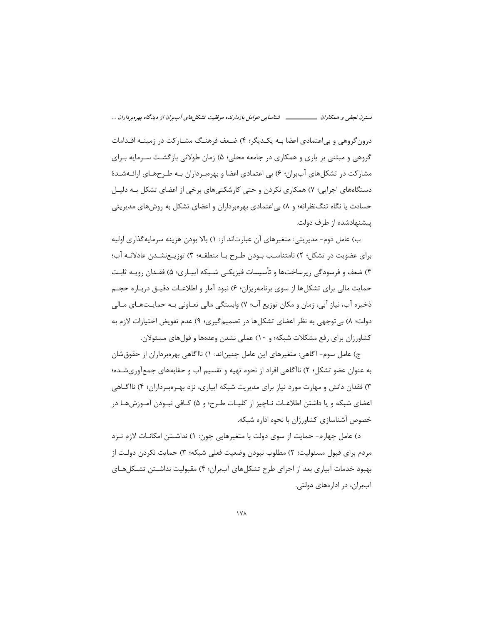درون گروهی و بی اعتمادی اعضا بـه یکـدیگر؛ ۴) ضـعف فرهنـگ مشـارکت در زمینـه اقـدامات گروهی و مبتنی بر پاری و همکاری در جامعه محلی؛ ۵) زمان طولانی بازگشت سـرمایه بـرای مشارکت در تشکلهای آببران؛ ۶) بی اعتمادی اعضا و بهرهبرداران بـه طـرحهـای ارائـهشـدهٔ دستگاههای اجرایی؛ ۷) همکاری نکردن و حتی کارشکنیهای برخی از اعضای تشکل بـه دلیـل حسادت یا نگاه تنگنظرانه؛ و ۸) بی|عتمادی بهرهبرداران و اعضای تشکل به روشهای مدیریتی پیشنهادشده از طرف دولت.

ب) عامل دوم- مدیریتی: متغیرهای آن عبارتاند از: ۱) بالا بودن هزینه سرمایه گذاری اولیه برای عضویت در تشکل؛ ۲) نامتناسب بودن طرح با منطقه؛ ۳) توزیـع نشـدن عادلانـه آب؛ ۴) ضعف و فرسودگی زیرساختها و تأسیسات فیزیکـی شـبکه آبیـاری؛ ۵) فقـدان رویـه ثابـت حمایت مالی برای تشکلها از سوی برنامهریزان؛ ۶) نبود آمار و اطلاعـات دقیــق دربـاره حجــم ذخیره آب، نیاز آبی، زمان و مکان توزیع آب؛ ۷) وابستگی مالی تعـاونی بـه حمایـتهـای مـالی دولت؛ ٨) بي توجهي به نظر اعضاي تشكلها در تصميم گيري؛ ٩) عدم تفويض اختيارات لازم به کشاورزان برای رفع مشکلات شبکه؛ و ١٠) عملی نشدن وعدهها و قولهای مسئولان.

ج) عامل سوم- آگاهي: متغيرهاي اين عامل چنين|ند: ١) ناآگاهي بهرهبرداران از حقوق شان به عنوان عضو تشكل؛ ٢) ناأَكَاهي افراد از نحوه تهيه و تقسيم أب و حقابههاي جمعأوريشـده؛ ۳) فقدان دانش و مهارت مورد نیاز برای مدیریت شبکه آبیاری، نزد بهـرەبـرداران؛ ۴) ناآگــاهی اعضای شبکه و یا داشتن اطلاعـات نــاچیز از کلیــات طــرح؛ و ۵) کــافی نبــودن آمــوزش۵مــا در خصوص آشناسازی کشاورزان با نحوه اداره شبکه.

د) عامل چهارم- حمایت از سوی دولت با متغیرهایی چون: ۱) نداشـتن امکانـات لازم نـزد مردم براي قبول مسئوليت؛ ٢) مطلوب نبودن وضعيت فعلي شبكه؛ ٣) حمايت نكردن دولـت از بهبود خدمات آبیاری بعد از اجرای طرح تشکلهای آببران؛ ۴) مقبولیت نداشـتن تشـکلهـای آببران، در ادارههای دولتی.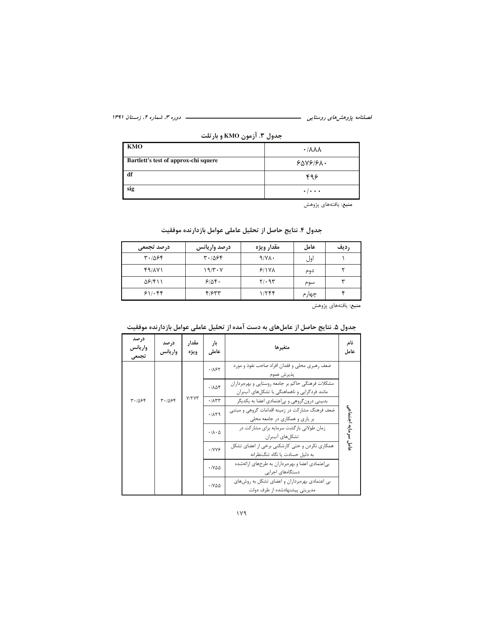| - - -<br>----                        |                                   |
|--------------------------------------|-----------------------------------|
| KMO                                  | $\cdot$ / $\lambda\lambda\lambda$ |
| Bartlett's test of approx-chi squere | $80Y$ $97.$                       |
| df                                   | ۴۹۶                               |
| sig                                  | $\cdot$ / $\cdot$ $\cdot$         |

جدول ۳. آزمون KMO و بارتلت

| جدول ۴. نتایج حاصل از تحلیل عاملی عوامل بازدارنده موفقیت |  |  |
|----------------------------------------------------------|--|--|
|----------------------------------------------------------|--|--|

| درصد تجمعي     | درصد واريانس | مقدار ويژه       | عامل  | رديف |
|----------------|--------------|------------------|-------|------|
| 4.1886         | 4.1086       | 9/N <sub>A</sub> | اول   |      |
| f9/AY          | $19/T - V$   | 9/1VA            | دوم   |      |
| $\Delta$ ۶/۴۱۱ | 9/86.        | $Y/\cdot$ 95     | سوم   | س    |
| 51.88          | F/FT         | 1/766            | چهارم |      |
|                |              |                  |       |      |

**منبع**: يافتەهاى پژوهش

| جدول ۵. نتایج حاصل از عاملهای به دست آمده از تحلیل عاملی عوامل بازدارنده موفقیت |  |  |
|---------------------------------------------------------------------------------|--|--|

| درصد<br>واريانس<br>تجمعى | درصد<br>واريانس | مقدار<br>ويژه | بار<br>عاملى                         | متغيرها                                                                                           | نام<br>عامل         |
|--------------------------|-----------------|---------------|--------------------------------------|---------------------------------------------------------------------------------------------------|---------------------|
|                          |                 |               | .1187                                | ضعف رهبری محلی و فقدان افراد صاحب نفوذ و مورد<br>يذيرش عموم                                       |                     |
|                          |                 |               | .708                                 | مشکلات فرهنگی حاکم بر جامعه روستایی و بهرهبرداران<br>مانند فردگرایی و ناهماهنگی با تشکلهای آببران |                     |
| $T - 105F$               | $T - 1096$      | V/YYY         | .771                                 | بدبینی درون گروهی و بی عتمادی اعضا به یکدیگر                                                      |                     |
|                          |                 |               | 4.11                                 | ضعف فرهنگ مشارکت در زمینه اقدامات گروهی و مبتنی<br>بر یاری و همکاری در جامعه محلی                 |                     |
|                          |                 |               | $\cdot$ / $\Lambda$ $\cdot$ $\Delta$ | زمان طولانی بازگشت سرمایه برای مشارکت در<br>تشكل های آببران                                       | عامل سرمايه اجتماعى |
|                          |                 |               | .1099                                | همکاری نکردن و حتی کارشکنی برخی از اعضای تشکل<br>به دلیل حسادت یا نگاه تنگنظرانه                  |                     |
|                          |                 |               | $\cdot$ / $\vee$ $\triangle$         | بی عتمادی اعضا و بهرەبرداران به طرحهای ارائهشده<br>دستگاہھای اجرایے                               |                     |
|                          |                 |               | $\cdot$ / $\vee$ $\triangle$         | بی اعتمادی بهرهبرداران و اعضای تشکل به روشهای<br>مدیریتی پیشنهادشده از طرف دولت                   |                     |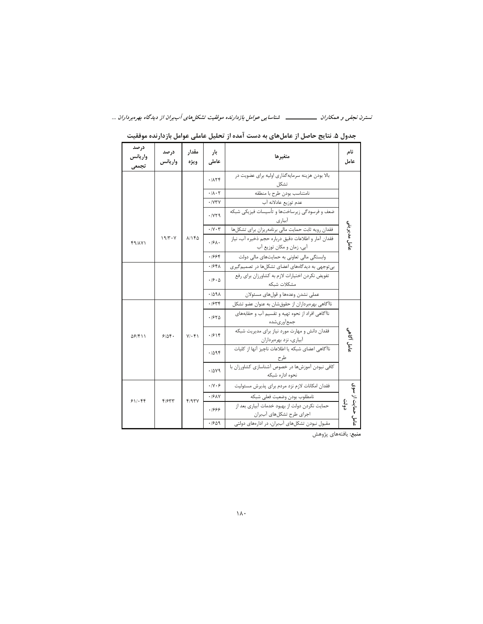| درصد<br>واريانس<br>تجمعى | درصد<br>واريانس | مقدار<br>ويژه | بار<br>عاملى                        | متغيرها                                                                          | نام<br>عامل             |
|--------------------------|-----------------|---------------|-------------------------------------|----------------------------------------------------------------------------------|-------------------------|
|                          |                 |               | 471.1                               | بالا بودن هزینه سرمایهگذاری اولیه برای عضویت در<br>تشكل                          |                         |
|                          |                 |               | $\cdot \mathsf{A} \cdot \mathsf{Y}$ | نامتناسب بودن طرح با منطقه                                                       |                         |
|                          |                 |               | .7YY                                | عدم توزيع عادلانه آب                                                             |                         |
|                          |                 |               | .119                                | ضعف و فرسودگی زیرساختها و تأسیسات فیزیکی شبکه<br>ابیار ی                         |                         |
|                          |                 |               | $\cdot$ / $\vee$ $\cdot$ $\uparrow$ | فقدان رويه ثابت حمايت مالي برنامهريزان براي تشكلها                               |                         |
| <b>F9/AV1</b>            | $19/T - V$      | <b>A/140</b>  | .19A.                               | فقدان آمار و اطلاعات دقیق درباره حجم ذخیره آب، نیاز<br>آبي، زمان و مكان توزيع آب | عامل مديريتى            |
|                          |                 |               | .1994                               | وابستگی مالی تعاونی به حمایتهای مالی دولت                                        |                         |
|                          |                 |               | .194A                               | بی توجهی به دیدگاههای اعضای تشکلها در تصمیم گیری                                 |                         |
|                          |                 |               | .19.0                               | تفویض نکردن اختیارات لازم به کشاورزان برای رفع<br>مشكلات شىكە                    |                         |
|                          |                 |               | .709A                               | عملی نشدن وعدهها و قولهای مسئولان                                                |                         |
|                          |                 |               | .1844                               | ناآگاهی بهرهبرداران از حقوقشان به عنوان عضو تشکل                                 |                         |
|                          |                 |               | .1870                               | ناآگاهی افراد از نحوه تهیه و تقسیم آب و حقابههای<br>جمع ورىشده                   |                         |
| ۵۶/۴۱۱                   | 9104.           | $V/\cdot f$   | .1914                               | فقدان دانش و مهارت مورد نیاز برای مدیریت شبکه<br>آبیاری، نزد بهرهبرداران         | عامل آگاهی              |
|                          |                 |               | .7098                               | ناآگاهی اعضای شبکه یا اطلاعات ناچیز آنها از کلیات<br>طرح                         |                         |
|                          |                 |               | .7049                               | كافي نبودن آموزش ها در خصوص آشناسازي كشاورزان با<br>نحوه اداره شبكه              |                         |
|                          |                 |               | .11.9                               | فقدان امکانات لازم نزد مردم برای پذیرش مسئولیت                                   |                         |
| 811.88                   | 4/۶۳۳           | F/97V         | .19AY                               | نامطلوب بودن وضعيت فعلى شبكه                                                     |                         |
|                          |                 |               | .1999                               | حمایت نکردن دولت از بهبود خدمات آبیاری بعد از<br>اجرای طرح تشکلهای آببران        | حمایت از سوی<br>تۇ<br>ئ |
|                          |                 |               | .1909                               | مقبول نبودن تشکلهای آببران، در ادارههای دولتی                                    | و<br>گ                  |

 $\mathbf{r}$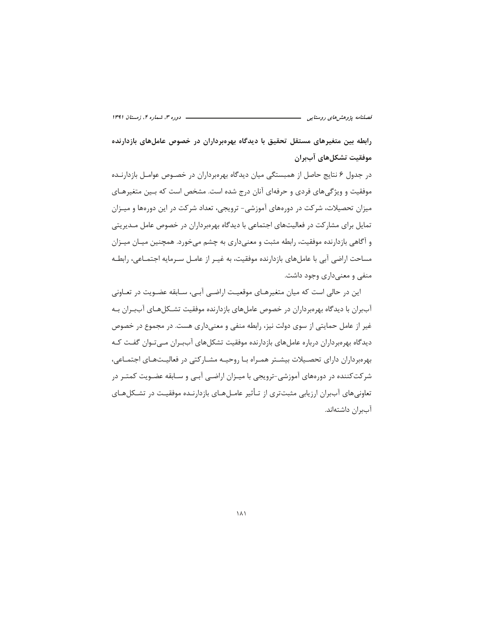رابطه بین متغیرهای مستقل تحقیق با دیدگاه بهرهبرداران در خصوص عاملهای بازدارنده موفقيت تشكلهاي آببران

در جدول ۶ نتایج حاصل از همبستگی میان دیدگاه بهروبرداران در خصـوص عوامـل بازدارنـده موفقیت و ویژگیهای فردی و حرفهای آنان درج شده است. مشخص است که بـین متغیرهـای میزان تحصیلات، شرکت در دورههای آموزشی- ترویجی، تعداد شرکت در این دورهها و میـزان تمایل برای مشارکت در فعالیتهای اجتماعی با دیدگاه بهرهبرداران در خصوص عامل مـدیریتی و آگاهی بازدارنده موفقیت، رابطه مثبت و معنیداری به چشم میخورد. همچنین میـان میـزان مساحت اراضی آبی با عاملهای بازدارنده موفقیت، به غیـر از عامـل سـرمایه اجتمـاعی، رابطـه منفی و معنی داری وجود داشت.

این در حالی است که میان متغیرهـای موقعیـت اراضـی آبـی، سـابقه عضـویت در تعـاونی آببران با دیدگاه بهرهبرداران در خصوص عاملهای بازدارنده موفقیت تشـکلهـای آببـران بـه غیر از عامل حمایتی از سوی دولت نیز، رابطه منفی و معنیداری هست. در مجموع در خصوص دیدگاه بهرمبرداران درباره عاملهای بازدارنده موفقیت تشکلهای آببران مے توان گفت کـه بهرهبرداران دارای تحصیلات بیشـتر همـراه بـا روحیـه مشـارکتی در فعالیـتهـای اجتمـاعی، شرکتکننده در دورههای آموزشی-ترویجی با میـزان اراضـی آبـی و سـابقه عضـویت کمتـر در تعاونی های آببران ارزیابی مثبتتری از تـأثیر عامـل۱مـای بازدارنـده موفقیـت در تشـكل۱مـای آببران داشتهاند.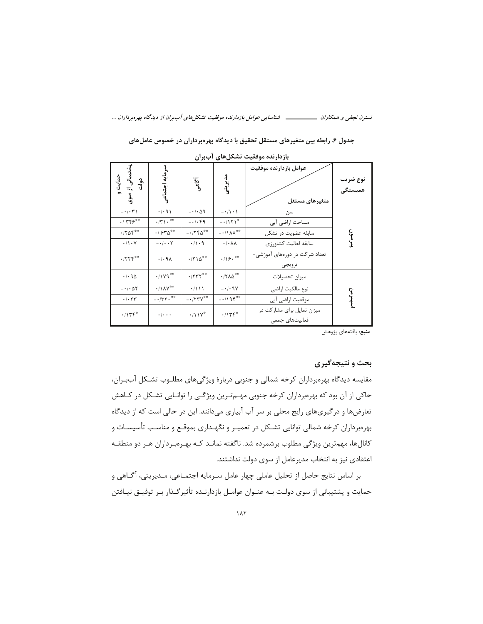جدول ۶. رابطه بین متغیرهای مستقل تحقیق با دیدگاه بهرهبرداران در خصوص عاملهای

|                                          |                                                                                       | ー                                                   |                                |                                              |                     |
|------------------------------------------|---------------------------------------------------------------------------------------|-----------------------------------------------------|--------------------------------|----------------------------------------------|---------------------|
| حمايت و<br>ببانی از سوی<br>$\frac{3}{1}$ | سرمايه اجتماعى                                                                        | آگاهی                                               | مديريتى                        | عوامل بازدارنده موفقيت<br>متغيرهاى مستقل     | نوع ضريب<br>همبستگی |
| $- \cdot / \cdot \Upsilon$               | $\cdot/\cdot$ 9)                                                                      | $-1.09$                                             | $-\cdot/1 \cdot 1$             | سن                                           |                     |
| $.1$ ۳۴۶ <sup>®®</sup>                   | $\cdot$ /٢ \ $\cdot$ **                                                               | $-1.49$                                             | $-1151$                        | مساحت اراضي أبي                              |                     |
| $\cdot$ /۲۵۴**                           | $\cdot$ / $550^{\circ\circ}$                                                          | $-1750^{\circ\circ}$                                | $-11\lambda\Lambda^{\ast\ast}$ | سابقه عضويت در تشكل                          |                     |
| $\cdot/\cdot$ Y                          | $- \cdot / \cdot \cdot \tau$                                                          | $\cdot/\cdot$ 9                                     | $\cdot/\cdot \wedge \wedge$    | سابقه فعاليت كشاورزى                         | ببرسون              |
| $\cdot$ /۲۲۴**                           | .44                                                                                   | $\cdot$ /۲۱۵**                                      | $\cdot/\gamma$ ۶.**            | تعداد شرکت در دورههای آموزشی-<br>ترويجي      |                     |
| .4.90                                    | $\cdot/\gamma\gamma^{\ast\ast}$                                                       | $\boldsymbol{\cdot}$ /۲۳۲**                         | $\cdot$ /۲۸۵**                 | ميزان تحصيلات                                |                     |
| $-1.05$                                  | $\boldsymbol{\cdot}/\boldsymbol{\backslash}\Lambda\boldsymbol{\mathsf{Y}}^{\ast\ast}$ | .7111                                               | $-1.9V$                        | نوع مالكيت اراضى                             |                     |
| $\cdot$ / $\cdot$ $\uparrow \uparrow$    | $-177.$                                                                               | $- \cdot / \Upsilon \Upsilon \Upsilon^{\ast \circ}$ | $-1195^{\circ\circ}$           | موقعیت اراضی آبی                             | سپيرمن              |
| $\cdot/\gamma\tau$ ۴*                    | $\cdot$ / $\cdot$ $\cdot$                                                             | $\cdot/\gamma \gamma^*$                             | .1155                          | میزان تمایل برای مشارکت در<br>فعاليتهاى جمعى |                     |

بازدارنده موفقیت تشکلهای آببران

منبع: يافتههاي پژوهش

### بحث و نتیجهگیری

مقایسه دیدگاه بهرهبرداران کرخه شمالی و جنوبی دربارهٔ ویژگیهای مطلـوب تشـکل آببـران، حاکی از آن بود که بهرهبرداران کرخه جنوبی مهـم=ترین ویژگـی را توانـایی تشـکل در کـاهش تعارضها و درگیریهای رایج محلی بر سر آب آبیاری میدانند. این در حالی است که از دیدگاه بهرهبرداران کرخه شمالی توانایی تشـکل در تعمیـر و نگهـداری بموقـع و مناسـب تأسیسـات و کانالها، مهم ترین ویژگی مطلوب برشمرده شد. ناگفته نمانـد کـه بهـرهبـرداران هـر دو منطقـه اعتقادی نیز به انتخاب مدیرعامل از سوی دولت نداشتند.

بر اساس نتايج حاصل از تحليل عاملي چهار عامل سـرمايه اجتمـاعي، مـديريتي، آگـاهي و حمایت و پشتیبانی از سوی دولت بـه عنـوان عوامـل بازدارنـده تأثیرگـذار بـر توفیـق نیـافتن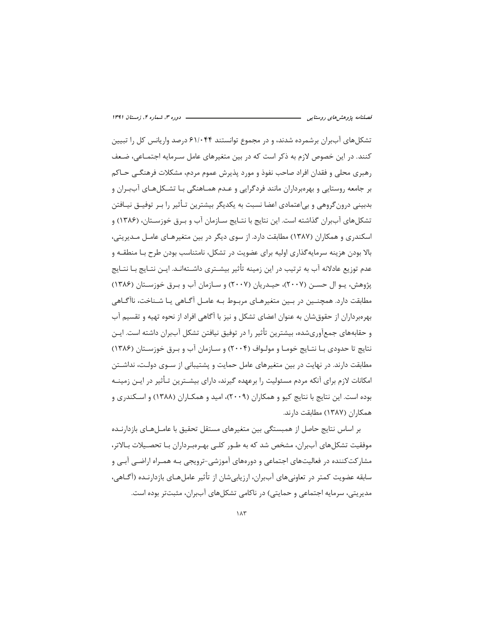تشکل های آببران برشمرده شدند، و در مجموع توانستند ۶۱/۰۴۴ درصد واریانس کل را تبیین کنند. در این خصوص لازم به ذکر است که در بین متغیرهای عامل سـرمایه اجتمـاعی، ضـعف رهبري محلي و فقدان افراد صاحب نفوذ و مورد پذيرش عموم مردم، مشكلات فرهنگـي حـاكم بر جامعه روستایی و بهرهبرداران مانند فردگرایی و عـدم همـاهنگی بـا تشـكلهـای آببـران و بدبینی درونگروهی و بی|عتمادی اعضا نسبت به یکدیگر بیشترین تـأثیر را بـر توفیــق نیــافتن تشكلهاي آببران گذاشته است. اين نتايج با نتـايج سـازمان آب و بـرق خوزسـتان، (۱۳۸۶) و اسکندری و همکاران (۱۳۸۷) مطابقت دارد. از سوی دیگر در بین متغیرهـای عامـل مـدیریتی، بالا بودن هزینه سرمایهگذاری اولیه برای عضویت در تشکل، نامتناسب بودن طرح بـا منطقــه و عدم توزيع عادلانه آب به ترتيب در اين زمينه تأثير بيشــترى داشــتهانــد. ايــن نتــايج بــا نتــايج پژوهش، يـو ال حسـن (٢٠٠٧)، حيـدريان (٢٠٠٧) و سـازمان آب و بـرق خوزسـتان (١٣٨۶) مطابقت دارد. همچنــین در بــین متغیرهــای مربـوط بــه عامــل آگــاهی یــا شــناخت، ناآگــاهی بهرهبرداران از حقوق شان به عنوان اعضای تشکل و نیز با آگاهی افراد از نحوه تهیه و تقسیم آب و حقابههای جمع[وریشده، بیشترین تأثیر را در توفیق نیافتن تشکل آببران داشته است. ایـن نتايج تا حدودي بـا نتـايج خومـا و مولـواف (۲۰۰۴) و سـازمان آب و بـرق خوزسـتان (۱۳۸۶) مطابقت دا,ند. در نهایت در بین متغیرهای عامل حمایت و پشتیبانی از سـوی دولـت، نداشـتن امکانات لازم برای آنکه مردم مسئولیت را برعهده گیرند، دارای بیشــترین تـأثیر در ایــن زمینــه بوده است. این نتایج با نتایج کیو و همکاران (۲۰۰۹)، امید و همکـاران (۱۳۸۸) و اسـکندری و همكاران (١٣٨٧) مطابقت دارند.

بر اساس نتایج حاصل از همبستگی بین متغیرهای مستقل تحقیق با عامـلهـای بازدارنـده موفقیت تشکلهای آببران، مشخص شد که به طـور کلـی بهـرەبـرداران بـا تحصـیلات بـالاتر، مشارکتکننده در فعالیتهای اجتماعی و دورههای آموزشی-ترویجی بـه همـراه اراضـی آبـی و سابقه عضويت كمتر در تعاوني هاي آببران، ارزيابي شان از تأثير عامل هـاي بازدارنـده (آگــاهي، مدیریتی، سرمایه اجتماعی و حمایتی) در ناکامی تشکلهای آببران، مثبتتر بوده است.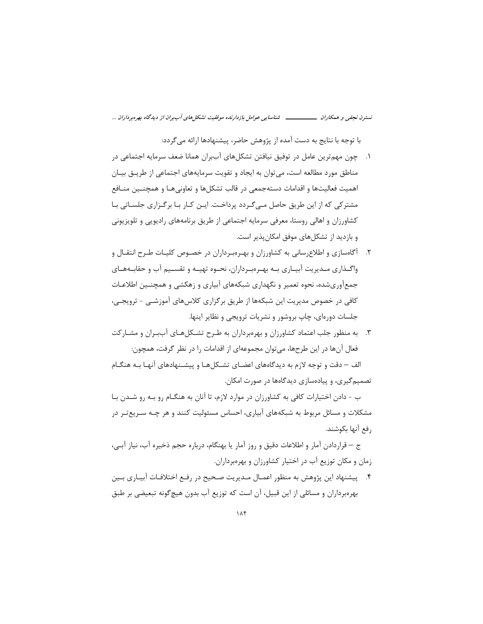با توجه با نتایج به دست آمده از پژوهش حاضر، پیشنهادها ارائه می گردد:

- ١. حون مهمترين عامل در توفيق نيافتن تشكلهاى آببران همانا ضعف سرمايه اجتماعي در مناطق مورد مطالعه است، می توان به ایجاد و تقویت سرمایههای اجتماعی از طریــق بیــان اهميت فعاليتها و اقدامات دستهجمعي در قالب تشكلها و تعاوني هـا و همچنــين منــافع مشتر کی که از این طریق حاصل مے گردد پرداخت. ایـن کـار بـا بر گـزاری جلسـاتی بـا کشاورزان و اهالی روستا، معرفی سرمایه اجتماعی از طریق برنامههای رادیویی و تلویزیونی و بازدید از تشکلهای موفق امکان پذیر است.
- ۲. آگاهسازی و اطلاع رسانی به کشاورزان و بهـروبـرداران در خصـوص کلیـات طـرح انتقـال و واگـذاري مـديريت آبيـاري بـه بهـرهبـرداران، نحـوه تهيـه و تقسـيم آب و حقابـههـاي جمعآوریشده، نحوه تعمیر و نگهداری شبکههای آبیاری و زهکشی و همچنـین اطلاعـات کافی در خصوص مدیریت این شبکهها از طریق برگزاری کلاسهای آموزشـی - ترویجـی، جلسات دورهای، چاپ بروشور و نشریات ترویجی و نظایر اینها.
- ۳. به منظور جلب اعتماد کشاورزان و بهرهبرداران به طـرح تشـکلهـای آببـران و مشـارکت فعال آنها در این طرحها، میتوان مجموعهای از اقدامات را در نظر گرفت، همچون: الف – دقت و توجه لازم به دیدگاههای اعضـای تشـکلهـا و پیشـنهادهای آنهـا بـه هنگـام

تصمیم گیری، و پیادهسازی دیدگاهها در صورت امکان.

ب - دادن اختیارات کافی به کشاورزان در موارد لازم، تا آنان به هنگـام رو بـه رو شــدن بـا مشکلات و مسائل مربوط به شبکههای آبیاری، احساس مسئولیت کنند و هر چـه سـریعتـر در رفع آنها بكوشند.

ج – قراردادن آمار و اطلاعات دقیق و روز آمار یا بهنگام، درباره حجم ذخیره آب، نیاز آبے،، زمان و مکان توزیع آب در اختیار کشاورزان و بهرهبرداران.

۴. پیشنهاد این پژوهش به منظور اعمـال مـدیریت صـحیح در رفـع اختلافـات آبیـاری بـین بهرهبرداران و مسائلی از این قبیل، آن است که توزیع آب بدون هیچ گونه تبعیضی بر طبق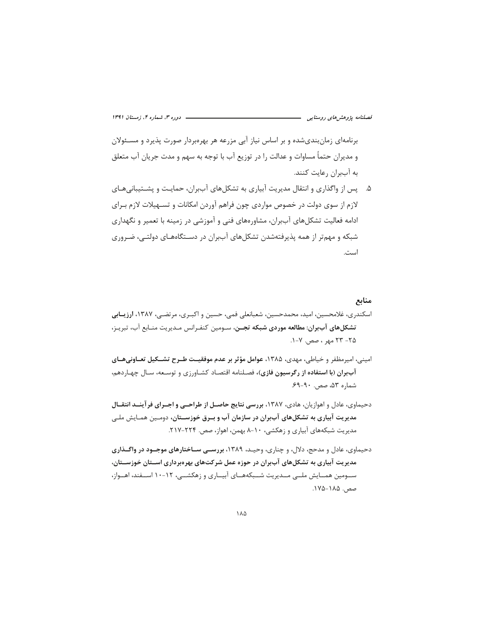برنامهای زمان بندی شده و بر اساس نیاز آبی مزرعه هر بهرهبردار صورت پذیرد و مسـئولان و مديران حتماً مساوات و عدالت را در توزيع آب با توجه به سهم و مدت جريان آب متعلق به آببران رعایت کنند.

۵. پس از واگذاری و انتقال مدیریت آبیاری به تشکلهای آببران، حمایـت و پشـتیبانیهـای لازم از سوی دولت در خصوص مواردی چون فراهم آوردن امکانات و تسـهیلات لازم بـرای ادامه فعالیت تشکلهای آببران، مشاورههای فنی و آموزشی در زمینه با تعمیر و نگهداری شبکه و مهمتر از همه پذیرفتهشدن تشکلهای آببران در دسـتگاههـای دولتـی، ضـروری است.

#### منابع

- اسکندری، غلامحسین، امید، محمدحسین، شعبانعلی فمی، حسین و اکبـری، مرتضـی، ۱۳۸۷، **ارزیــابی** تشكل هاى آب بران: مطالعه موردى شبكه تجـن، سـومين كنفـرانس مـديريت منـابع آب، تبريـز، ۲۵– ۲۳ مهر ، صص. ۷-۱.
- امینی، امیرمظفر و خیاطی، مهدی، ۱۳۸۵، عوامل مؤثر بر عدم موفقیـت طـرح تشــکیل تعــاونیهــای آببران (با استفاده از رگرسیون فازی)، فصلنامه اقتصاد کشـاورزی و توسـعه، سـال چهـاردهم، شماره ۵۳، صص. ۹۰-۶۹.
- دحیماوی، عادل و اهوازیان، هادی، ۱۳۸۷، بررسی نتایج حاصـل از طراحـی و اجــرای فرآینــد انتقــال مدیریت آبیاری به تشکلهای آببران در سازمان آب و بـرق خوزســتان، دومـین همـایش ملـی مدیریت شبکههای آبیاری و زهکشی، ۱۰-۸ بهمن، اهواز، صص. ۲۲۴-۲۱۷.
- دحیماوی، عادل و مدحج، دلال، و چناری، وحیـد، ۱۳۸۹، بررسـی سـاختارهای موجـود در واگـذاری مدیریت آبیاری به تشکلهای آببران در حوزه عمل شرکتهای بهرهبرداری اســتان خوزســتان، ســومین همــایش ملــی مــدیریت شــبکههــای آبیــاری و زهکشــی، ۱۲-۱۰ اســفند، اهــواز، صص. ۱۸۵-۱۸۵.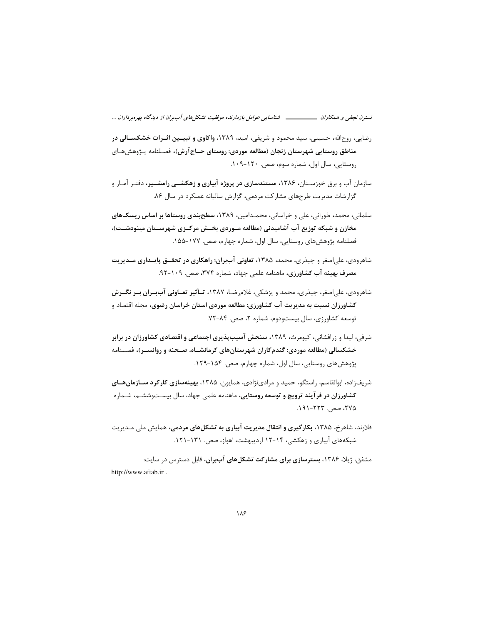- رضایی، روحالله، حسینی، سید محمود و شریفی، امید، ۱۳۸۹، واکاوی و تبیـین اثـرات خشکسـالی در مناطق روستایی شهرستان زنجان (مطالعه موردی: روستای حــاج آرش)، فصـلنامه پـژوهشهـای روستایی، سال اول، شماره سوم، صص. ۱۲۰-۰۹.
- سازمان آب و برق خوزسـتان، ۱۳۸۶، **مستندسازی در پروژه آبیاری و زهکشــی رامشــیر**، دفتـر آمـار و گزارشات مدیریت طرحهای مشارکت مردمی، گزارش سالیانه عملکرد در سال ۸۶.
- سلمانی، محمد، طورانی، علی و خراسانی، محمـدامین، ۱۳۸۹، **سطحبندی روستاها بر اساس ریسکهای** مخازن و شبکه توزیع آب آشامیدنی (مطالعه مـوردی بخـش مرکـزی شهرسـتان مینودشـت)، فصلنامه پژوهشهای روستایی، سال اول، شماره چهارم، صص. ۱۷۷-۱۵۵.
- شاهرودی، علیاصغر و چیذری، محمد، ۱۳۸۵، تعاونی آببران؛ راهکاری در تحقــق پایــداری مــدیریت مصرف بهينه آب كشاورزي، ماهنامه علمي جهاد، شماره ٣٧۴، صص. ١٠٩-٩٢.
- شاهرودی، علی|صغر، چیذری، محمد و پزشکی، غلامرضـا، ۱۳۸۷، تـأثی**ر تعــاونی آببــران بــر نگــرش** کشاورزان نسبت به مدیریت آب کشاورزی: مطالعه موردی استان خراسان رضوی، مجله اقتصاد و توسعه كشاورزى، سال بيستودوم، شماره ٢، صص. ٨۴-٧٢.
- شرفی، لیدا و زرافشانی، کیومرث، ۱۳۸۹، **سنجش آسیبپذیری اجتماعی و اقتصادی کشاورزان در برابر** خشکسالی (مطالعه موردی: گندم کاران شهرستانهای کرمانشـاه، صـحنه و روانسـر)، فصـلنامه پژوهش های روستایی، سال اول، شماره چهارم، صص. ۱۵۴-۱۲۹.
- شریفزاده، ابوالقاسم، راستگو، حمید و مرادینژادی، همایون، ۱۳۸۵، بهینهسازی کارکرد سازمان های کشاورزان در فرآیند ترویج و توسعه روستایی، ماهنامه علمی جهاد، سال بیسـتوششـم، شـماره ۲۷۵، صص. ۲۲۳-۱۹۱.
- قلاوند، شاهرخ، ۱۳۸۵، بکارگیری و انتقال مدیریت آبیاری به تشکلهای مردمی، همایش ملی مـدیریت شبکههای آبیاری و زهکشی، ۱۴-۱۲ اردیبهشت، اهواز، صص. ۱۳۱-۱۲۱.

مشفق، ژیلا، ۱۳۸۶، **بسترسازی برای مشارکت تشکلهای آببران**، قابل دسترس در سایت: http://www.aftab.ir.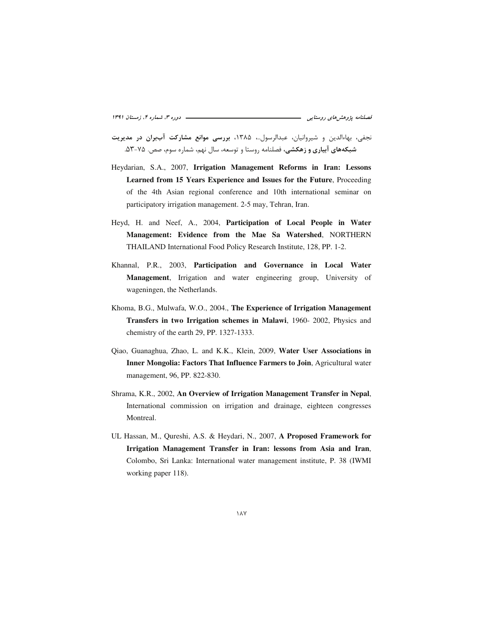نجفی، بهاءالدین و شیروانیان، عبدالرسول..، ۱۳۸۵، بررسی موانع مشارکت آببران در مدیریت شبکههای آبیاری و زهکشی، فصلنامه روستا و توسعه، سال نهم، شماره سوم، صص. ۷۵-۵۳.

- Heydarian, S.A., 2007, Irrigation Management Reforms in Iran: Lessons Learned from 15 Years Experience and Issues for the Future, Proceeding of the 4th Asian regional conference and 10th international seminar on participatory irrigation management. 2-5 may, Tehran, Iran.
- Heyd, H. and Neef, A., 2004, Participation of Local People in Water Management: Evidence from the Mae Sa Watershed, NORTHERN THAILAND International Food Policy Research Institute, 128, PP. 1-2.
- Khannal, P.R., 2003, Participation and Governance in Local Water Management, Irrigation and water engineering group, University of wageningen, the Netherlands.
- Khoma, B.G., Mulwafa, W.O., 2004., The Experience of Irrigation Management Transfers in two Irrigation schemes in Malawi, 1960- 2002, Physics and chemistry of the earth 29, PP. 1327-1333.
- Qiao, Guanaghua, Zhao, L. and K.K., Klein, 2009, Water User Associations in Inner Mongolia: Factors That Influence Farmers to Join, Agricultural water management, 96, PP. 822-830.
- Shrama, K.R., 2002, An Overview of Irrigation Management Transfer in Nepal, International commission on irrigation and drainage, eighteen congresses Montreal.
- UL Hassan, M., Qureshi, A.S. & Heydari, N., 2007, A Proposed Framework for Irrigation Management Transfer in Iran: lessons from Asia and Iran, Colombo, Sri Lanka: International water management institute, P. 38 (IWMI working paper 118).